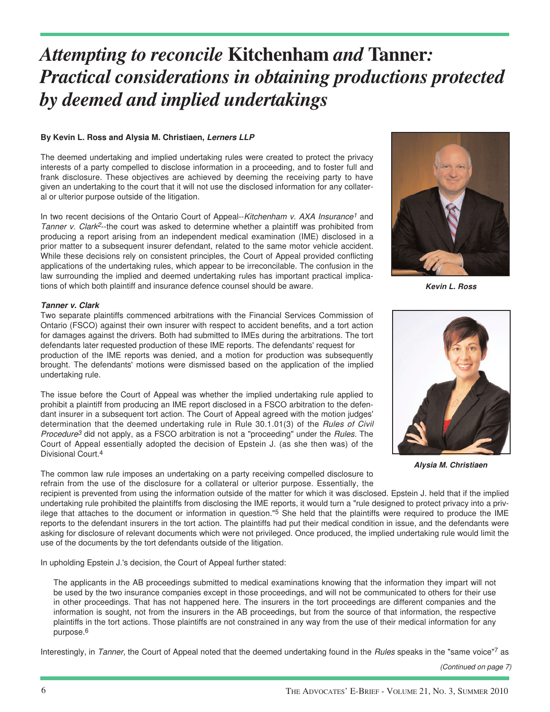# *Attempting to reconcile* **Kitchenham** *and* **Tanner***: Practical considerations in obtaining productions protected by deemed and implied undertakings*

## **By Kevin L. Ross and Alysia M. Christiaen, Lerners LLP**

The deemed undertaking and implied undertaking rules were created to protect the privacy interests of a party compelled to disclose information in a proceeding, and to foster full and frank disclosure. These objectives are achieved by deeming the receiving party to have given an undertaking to the court that it will not use the disclosed information for any collateral or ulterior purpose outside of the litigation.

In two recent decisions of the Ontario Court of Appeal--Kitchenham v. AXA Insurance<sup>1</sup> and Tanner v. Clark<sup>2</sup>--the court was asked to determine whether a plaintiff was prohibited from producing a report arising from an independent medical examination (IME) disclosed in a prior matter to a subsequent insurer defendant, related to the same motor vehicle accident. While these decisions rely on consistent principles, the Court of Appeal provided conflicting applications of the undertaking rules, which appear to be irreconcilable. The confusion in the law surrounding the implied and deemed undertaking rules has important practical implications of which both plaintiff and insurance defence counsel should be aware.

## **Tanner v. Clark**

Two separate plaintiffs commenced arbitrations with the Financial Services Commission of Ontario (FSCO) against their own insurer with respect to accident benefits, and a tort action for damages against the drivers. Both had submitted to IMEs during the arbitrations. The tort defendants later requested production of these IME reports. The defendants' request for production of the IME reports was denied, and a motion for production was subsequently brought. The defendants' motions were dismissed based on the application of the implied undertaking rule.

The issue before the Court of Appeal was whether the implied undertaking rule applied to prohibit a plaintiff from producing an IME report disclosed in a FSCO arbitration to the defendant insurer in a subsequent tort action. The Court of Appeal agreed with the motion judges' determination that the deemed undertaking rule in Rule 30.1.01(3) of the Rules of Civil Procedure<sup>3</sup> did not apply, as a FSCO arbitration is not a "proceeding" under the *Rules*. The Court of Appeal essentially adopted the decision of Epstein J. (as she then was) of the Divisional Court.4

The common law rule imposes an undertaking on a party receiving compelled disclosure to refrain from the use of the disclosure for a collateral or ulterior purpose. Essentially, the



**Kevin L. Ross**



**Alysia M. Christiaen**

recipient is prevented from using the information outside of the matter for which it was disclosed. Epstein J. held that if the implied undertaking rule prohibited the plaintiffs from disclosing the IME reports, it would turn a "rule designed to protect privacy into a privilege that attaches to the document or information in question."<sup>5</sup> She held that the plaintiffs were required to produce the IME reports to the defendant insurers in the tort action. The plaintiffs had put their medical condition in issue, and the defendants were asking for disclosure of relevant documents which were not privileged. Once produced, the implied undertaking rule would limit the use of the documents by the tort defendants outside of the litigation.

In upholding Epstein J.'s decision, the Court of Appeal further stated:

The applicants in the AB proceedings submitted to medical examinations knowing that the information they impart will not be used by the two insurance companies except in those proceedings, and will not be communicated to others for their use in other proceedings. That has not happened here. The insurers in the tort proceedings are different companies and the information is sought, not from the insurers in the AB proceedings, but from the source of that information, the respective plaintiffs in the tort actions. Those plaintiffs are not constrained in any way from the use of their medical information for any purpose.6

Interestingly, in Tanner, the Court of Appeal noted that the deemed undertaking found in the Rules speaks in the "same voice"7 as

(Continued on page 7)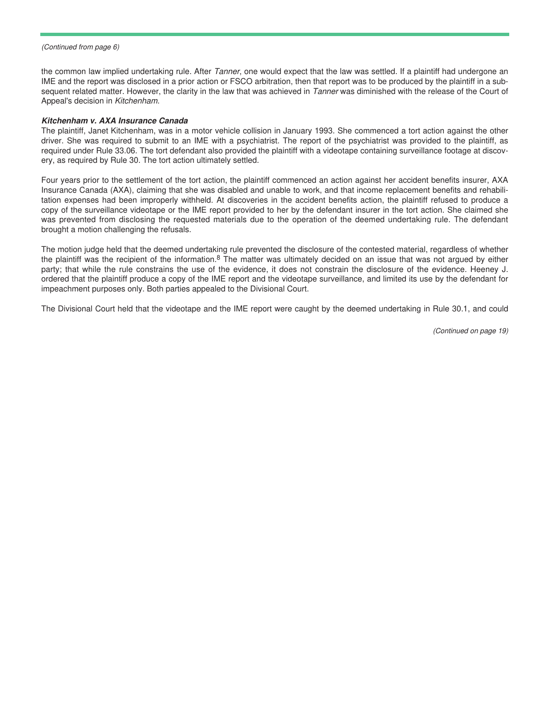(Continued from page 6)

the common law implied undertaking rule. After Tanner, one would expect that the law was settled. If a plaintiff had undergone an IME and the report was disclosed in a prior action or FSCO arbitration, then that report was to be produced by the plaintiff in a subsequent related matter. However, the clarity in the law that was achieved in Tanner was diminished with the release of the Court of Appeal's decision in Kitchenham.

#### **Kitchenham v. AXA Insurance Canada**

The plaintiff, Janet Kitchenham, was in a motor vehicle collision in January 1993. She commenced a tort action against the other driver. She was required to submit to an IME with a psychiatrist. The report of the psychiatrist was provided to the plaintiff, as required under Rule 33.06. The tort defendant also provided the plaintiff with a videotape containing surveillance footage at discovery, as required by Rule 30. The tort action ultimately settled.

Four years prior to the settlement of the tort action, the plaintiff commenced an action against her accident benefits insurer, AXA Insurance Canada (AXA), claiming that she was disabled and unable to work, and that income replacement benefits and rehabilitation expenses had been improperly withheld. At discoveries in the accident benefits action, the plaintiff refused to produce a copy of the surveillance videotape or the IME report provided to her by the defendant insurer in the tort action. She claimed she was prevented from disclosing the requested materials due to the operation of the deemed undertaking rule. The defendant brought a motion challenging the refusals.

The motion judge held that the deemed undertaking rule prevented the disclosure of the contested material, regardless of whether the plaintiff was the recipient of the information.8 The matter was ultimately decided on an issue that was not argued by either party; that while the rule constrains the use of the evidence, it does not constrain the disclosure of the evidence. Heeney J. ordered that the plaintiff produce a copy of the IME report and the videotape surveillance, and limited its use by the defendant for impeachment purposes only. Both parties appealed to the Divisional Court.

The Divisional Court held that the videotape and the IME report were caught by the deemed undertaking in Rule 30.1, and could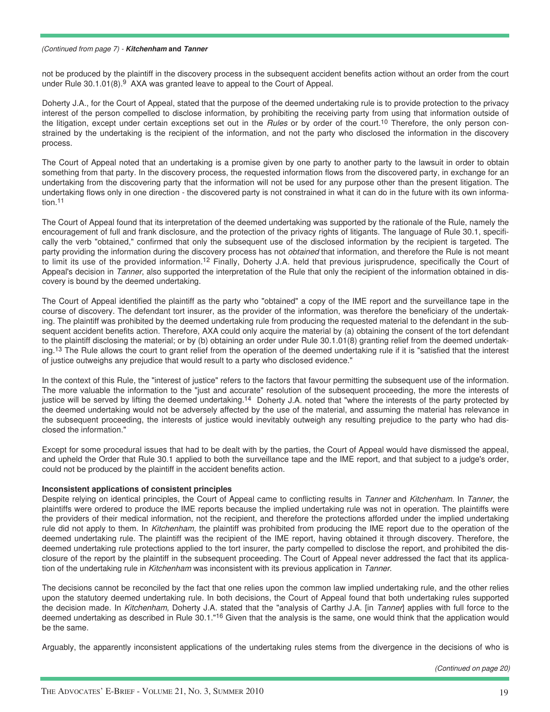#### (Continued from page 7) - **Kitchenham and Tanner**

not be produced by the plaintiff in the discovery process in the subsequent accident benefits action without an order from the court under Rule 30.1.01(8).9 AXA was granted leave to appeal to the Court of Appeal.

Doherty J.A., for the Court of Appeal, stated that the purpose of the deemed undertaking rule is to provide protection to the privacy interest of the person compelled to disclose information, by prohibiting the receiving party from using that information outside of the litigation, except under certain exceptions set out in the *Rules* or by order of the court.<sup>10</sup> Therefore, the only person constrained by the undertaking is the recipient of the information, and not the party who disclosed the information in the discovery process.

The Court of Appeal noted that an undertaking is a promise given by one party to another party to the lawsuit in order to obtain something from that party. In the discovery process, the requested information flows from the discovered party, in exchange for an undertaking from the discovering party that the information will not be used for any purpose other than the present litigation. The undertaking flows only in one direction - the discovered party is not constrained in what it can do in the future with its own information.11

The Court of Appeal found that its interpretation of the deemed undertaking was supported by the rationale of the Rule, namely the encouragement of full and frank disclosure, and the protection of the privacy rights of litigants. The language of Rule 30.1, specifically the verb "obtained," confirmed that only the subsequent use of the disclosed information by the recipient is targeted. The party providing the information during the discovery process has not obtained that information, and therefore the Rule is not meant to limit its use of the provided information.<sup>12</sup> Finally, Doherty J.A. held that previous jurisprudence, specifically the Court of Appeal's decision in Tanner, also supported the interpretation of the Rule that only the recipient of the information obtained in discovery is bound by the deemed undertaking.

The Court of Appeal identified the plaintiff as the party who "obtained" a copy of the IME report and the surveillance tape in the course of discovery. The defendant tort insurer, as the provider of the information, was therefore the beneficiary of the undertaking. The plaintiff was prohibited by the deemed undertaking rule from producing the requested material to the defendant in the subsequent accident benefits action. Therefore, AXA could only acquire the material by (a) obtaining the consent of the tort defendant to the plaintiff disclosing the material; or by (b) obtaining an order under Rule 30.1.01(8) granting relief from the deemed undertaking.<sup>13</sup> The Rule allows the court to grant relief from the operation of the deemed undertaking rule if it is "satisfied that the interest of justice outweighs any prejudice that would result to a party who disclosed evidence."

In the context of this Rule, the "interest of justice" refers to the factors that favour permitting the subsequent use of the information. The more valuable the information to the "just and accurate" resolution of the subsequent proceeding, the more the interests of justice will be served by lifting the deemed undertaking.<sup>14</sup> Doherty J.A. noted that "where the interests of the party protected by the deemed undertaking would not be adversely affected by the use of the material, and assuming the material has relevance in the subsequent proceeding, the interests of justice would inevitably outweigh any resulting prejudice to the party who had disclosed the information."

Except for some procedural issues that had to be dealt with by the parties, the Court of Appeal would have dismissed the appeal, and upheld the Order that Rule 30.1 applied to both the surveillance tape and the IME report, and that subject to a judge's order, could not be produced by the plaintiff in the accident benefits action.

## **Inconsistent applications of consistent principles**

Despite relying on identical principles, the Court of Appeal came to conflicting results in Tanner and Kitchenham. In Tanner, the plaintiffs were ordered to produce the IME reports because the implied undertaking rule was not in operation. The plaintiffs were the providers of their medical information, not the recipient, and therefore the protections afforded under the implied undertaking rule did not apply to them. In Kitchenham, the plaintiff was prohibited from producing the IME report due to the operation of the deemed undertaking rule. The plaintiff was the recipient of the IME report, having obtained it through discovery. Therefore, the deemed undertaking rule protections applied to the tort insurer, the party compelled to disclose the report, and prohibited the disclosure of the report by the plaintiff in the subsequent proceeding. The Court of Appeal never addressed the fact that its application of the undertaking rule in Kitchenham was inconsistent with its previous application in Tanner.

The decisions cannot be reconciled by the fact that one relies upon the common law implied undertaking rule, and the other relies upon the statutory deemed undertaking rule. In both decisions, the Court of Appeal found that both undertaking rules supported the decision made. In Kitchenham, Doherty J.A. stated that the "analysis of Carthy J.A. [in Tanner] applies with full force to the deemed undertaking as described in Rule 30.1."<sup>16</sup> Given that the analysis is the same, one would think that the application would be the same.

Arguably, the apparently inconsistent applications of the undertaking rules stems from the divergence in the decisions of who is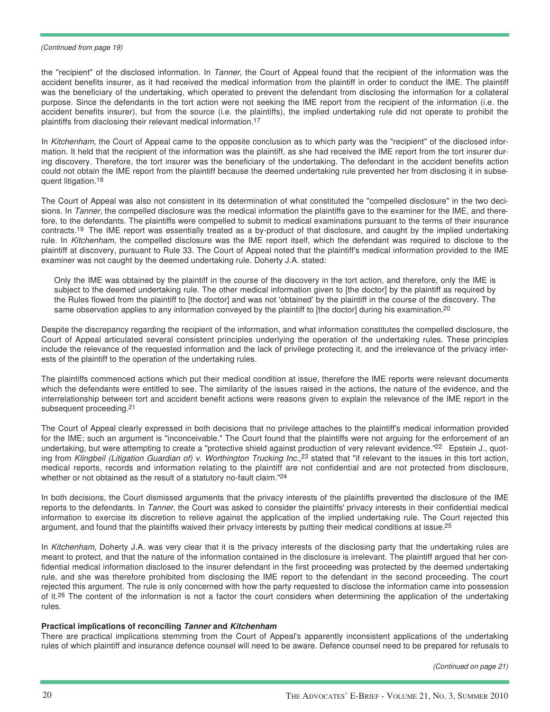#### (Continued from page 19)

the "recipient" of the disclosed information. In Tanner, the Court of Appeal found that the recipient of the information was the accident benefits insurer, as it had received the medical information from the plaintiff in order to conduct the IME. The plaintiff was the beneficiary of the undertaking, which operated to prevent the defendant from disclosing the information for a collateral purpose. Since the defendants in the tort action were not seeking the IME report from the recipient of the information (i.e. the accident benefits insurer), but from the source (i.e. the plaintiffs), the implied undertaking rule did not operate to prohibit the plaintiffs from disclosing their relevant medical information.17

In Kitchenham, the Court of Appeal came to the opposite conclusion as to which party was the "recipient" of the disclosed information. It held that the recipient of the information was the plaintiff, as she had received the IME report from the tort insurer during discovery. Therefore, the tort insurer was the beneficiary of the undertaking. The defendant in the accident benefits action could not obtain the IME report from the plaintiff because the deemed undertaking rule prevented her from disclosing it in subsequent litigation.18

The Court of Appeal was also not consistent in its determination of what constituted the "compelled disclosure" in the two decisions. In Tanner, the compelled disclosure was the medical information the plaintiffs gave to the examiner for the IME, and therefore, to the defendants. The plaintiffs were compelled to submit to medical examinations pursuant to the terms of their insurance contracts.19 The IME report was essentially treated as a by-product of that disclosure, and caught by the implied undertaking rule. In Kitchenham, the compelled disclosure was the IME report itself, which the defendant was required to disclose to the plaintiff at discovery, pursuant to Rule 33. The Court of Appeal noted that the plaintiff's medical information provided to the IME examiner was not caught by the deemed undertaking rule. Doherty J.A. stated:

Only the IME was obtained by the plaintiff in the course of the discovery in the tort action, and therefore, only the IME is subject to the deemed undertaking rule. The other medical information given to [the doctor] by the plaintiff as required by the Rules flowed from the plaintiff to [the doctor] and was not 'obtained' by the plaintiff in the course of the discovery. The same observation applies to any information conveyed by the plaintiff to [the doctor] during his examination.<sup>20</sup>

Despite the discrepancy regarding the recipient of the information, and what information constitutes the compelled disclosure, the Court of Appeal articulated several consistent principles underlying the operation of the undertaking rules. These principles include the relevance of the requested information and the lack of privilege protecting it, and the irrelevance of the privacy interests of the plaintiff to the operation of the undertaking rules.

The plaintiffs commenced actions which put their medical condition at issue, therefore the IME reports were relevant documents which the defendants were entitled to see. The similarity of the issues raised in the actions, the nature of the evidence, and the interrelationship between tort and accident benefit actions were reasons given to explain the relevance of the IME report in the subsequent proceeding.<sup>21</sup>

The Court of Appeal clearly expressed in both decisions that no privilege attaches to the plaintiff's medical information provided for the IME; such an argument is "inconceivable." The Court found that the plaintiffs were not arguing for the enforcement of an undertaking, but were attempting to create a "protective shield against production of very relevant evidence."<sup>22</sup> Epstein J., quoting from Klingbeil (Litigation Guardian of) v. Worthington Trucking Inc.,<sup>23</sup> stated that "if relevant to the issues in this tort action, medical reports, records and information relating to the plaintiff are not confidential and are not protected from disclosure, whether or not obtained as the result of a statutory no-fault claim."<sup>24</sup>

In both decisions, the Court dismissed arguments that the privacy interests of the plaintiffs prevented the disclosure of the IME reports to the defendants. In Tanner, the Court was asked to consider the plaintiffs' privacy interests in their confidential medical information to exercise its discretion to relieve against the application of the implied undertaking rule. The Court rejected this argument, and found that the plaintiffs waived their privacy interests by putting their medical conditions at issue.<sup>25</sup>

In Kitchenham, Doherty J.A. was very clear that it is the privacy interests of the disclosing party that the undertaking rules are meant to protect, and that the nature of the information contained in the disclosure is irrelevant. The plaintiff argued that her confidential medical information disclosed to the insurer defendant in the first proceeding was protected by the deemed undertaking rule, and she was therefore prohibited from disclosing the IME report to the defendant in the second proceeding. The court rejected this argument. The rule is only concerned with how the party requested to disclose the information came into possession of it.<sup>26</sup> The content of the information is not a factor the court considers when determining the application of the undertaking rules.

## **Practical implications of reconciling Tanner and Kitchenham**

There are practical implications stemming from the Court of Appeal's apparently inconsistent applications of the undertaking rules of which plaintiff and insurance defence counsel will need to be aware. Defence counsel need to be prepared for refusals to

(Continued on page 21)